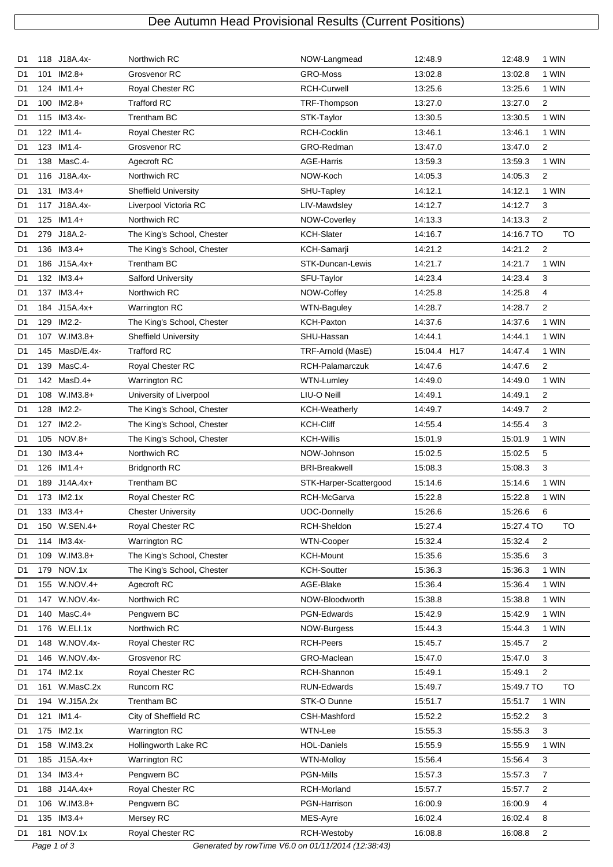## Dee Autumn Head Provisional Results (Current Positions)

| D1             |             | 118 J18A.4x-   | Northwich RC                                       | NOW-Langmead            | 12:48.9     | 12:48.9    | 1 WIN          |
|----------------|-------------|----------------|----------------------------------------------------|-------------------------|-------------|------------|----------------|
| D1             |             | 101 IM2.8+     | Grosvenor RC                                       | GRO-Moss                | 13:02.8     | 13:02.8    | 1 WIN          |
| D1             |             | 124 IM1.4+     | Royal Chester RC                                   | <b>RCH-Curwell</b>      | 13:25.6     | 13:25.6    | 1 WIN          |
| D1             |             | $100$ IM2.8+   | <b>Trafford RC</b>                                 | TRF-Thompson            | 13:27.0     | 13:27.0    | $\overline{2}$ |
| D1             |             | 115 IM3.4x-    | Trentham BC                                        | STK-Taylor              | 13:30.5     | 13:30.5    | 1 WIN          |
| D1             |             | 122 IM1.4-     | Royal Chester RC                                   | <b>RCH-Cocklin</b>      | 13:46.1     | 13:46.1    | 1 WIN          |
| D1             |             | 123 IM1.4-     | Grosvenor RC                                       | GRO-Redman              | 13.47.0     | 13:47.0    | 2              |
| D1             |             | 138 MasC.4-    | Agecroft RC                                        | <b>AGE-Harris</b>       | 13:59.3     | 13:59.3    | 1 WIN          |
| D1             |             | 116 J18A.4x-   | Northwich RC                                       | NOW-Koch                | 14:05.3     | 14:05.3    | 2              |
| D1             |             | 131 IM3.4+     | <b>Sheffield University</b>                        | SHU-Tapley              | 14:12.1     | 14:12.1    | 1 WIN          |
| D <sub>1</sub> |             | 117 J18A.4x-   | Liverpool Victoria RC                              | LIV-Mawdsley            | 14:12.7     | 14:12.7    | 3              |
| D1             |             | 125 IM1.4+     | Northwich RC                                       | NOW-Coverley            | 14:13.3     | 14:13.3    | 2              |
| D1             |             | 279 J18A.2-    | The King's School, Chester                         | <b>KCH-Slater</b>       | 14:16.7     | 14:16.7 TO | <b>TO</b>      |
| D1             |             | 136 IM3.4+     | The King's School, Chester                         | KCH-Samarji             | 14:21.2     | 14:21.2    | 2              |
| D1             |             | 186 J15A.4x+   | Trentham BC                                        | <b>STK-Duncan-Lewis</b> | 14:21.7     | 14:21.7    | 1 WIN          |
| D1             |             | 132 IM3.4+     | <b>Salford University</b>                          | SFU-Taylor              | 14:23.4     | 14:23.4    | 3              |
| D1             |             | 137 IM3.4+     | Northwich RC                                       | NOW-Coffey              | 14:25.8     | 14:25.8    | 4              |
| D1             |             | 184 J15A.4x+   | Warrington RC                                      | <b>WTN-Baguley</b>      | 14:28.7     | 14:28.7    | $\overline{2}$ |
| D1             | 129         | IM2.2-         | The King's School, Chester                         | <b>KCH-Paxton</b>       | 14:37.6     | 14:37.6    | 1 WIN          |
| D1             |             | 107 W.IM3.8+   | <b>Sheffield University</b>                        | SHU-Hassan              | 14:44.1     | 14:44.1    | 1 WIN          |
| D1             |             | 145 MasD/E.4x- | <b>Trafford RC</b>                                 | TRF-Arnold (MasE)       | 15:04.4 H17 | 14:47.4    | 1 WIN          |
| D1             |             | 139 MasC.4-    | Royal Chester RC                                   | RCH-Palamarczuk         | 14:47.6     | 14:47.6    | $\overline{2}$ |
|                |             | 142 MasD.4+    | Warrington RC                                      | WTN-Lumley              | 14:49.0     | 14:49.0    | 1 WIN          |
| D1             |             | 108 W.IM3.8+   |                                                    | LIU-O Neill             |             |            |                |
| D1             |             |                | University of Liverpool                            |                         | 14:49.1     | 14:49.1    | $\overline{2}$ |
| D1             |             | 128 IM2.2-     | The King's School, Chester                         | <b>KCH-Weatherly</b>    | 14:49.7     | 14:49.7    | $\overline{2}$ |
| D1             |             | 127 IM2.2-     | The King's School, Chester                         | <b>KCH-Cliff</b>        | 14:55.4     | 14:55.4    | 3              |
| D1             |             | 105 NOV.8+     | The King's School, Chester                         | <b>KCH-Willis</b>       | 15:01.9     | 15:01.9    | 1 WIN          |
| D1             |             | 130 IM3.4+     | Northwich RC                                       | NOW-Johnson             | 15:02.5     | 15:02.5    | 5              |
| D1             |             | 126 IM1.4+     | <b>Bridgnorth RC</b>                               | <b>BRI-Breakwell</b>    | 15:08.3     | 15:08.3    | 3              |
| D1             |             | 189 J14A.4x+   | Trentham BC                                        | STK-Harper-Scattergood  | 15:14.6     | 15:14.6    | 1 WIN          |
| D <sub>1</sub> |             | 173 IM2.1x     | Royal Chester RC                                   | RCH-McGarva             | 15:22.8     | 15:22.8    | 1 WIN          |
| D1             |             | 133 IM3.4+     | <b>Chester University</b>                          | UOC-Donnelly            | 15:26.6     | 15:26.6    | 6              |
| D1             |             | 150 W.SEN.4+   | Royal Chester RC                                   | RCH-Sheldon             | 15:27.4     | 15:27.4 TO | TO             |
| D1             |             | 114 IM3.4x-    | Warrington RC                                      | WTN-Cooper              | 15:32.4     | 15:32.4    | $\overline{2}$ |
| D1             |             | 109 W.IM3.8+   | The King's School, Chester                         | <b>KCH-Mount</b>        | 15:35.6     | 15:35.6    | 3              |
| D1             |             | 179 NOV.1x     | The King's School, Chester                         | <b>KCH-Soutter</b>      | 15:36.3     | 15:36.3    | 1 WIN          |
| D1             |             | 155 W.NOV.4+   | Agecroft RC                                        | AGE-Blake               | 15:36.4     | 15:36.4    | 1 WIN          |
| D1             |             | 147 W.NOV.4x-  | Northwich RC                                       | NOW-Bloodworth          | 15:38.8     | 15:38.8    | 1 WIN          |
| D1             |             | 140 MasC.4+    | Pengwern BC                                        | PGN-Edwards             | 15:42.9     | 15:42.9    | 1 WIN          |
| D1             |             | 176 W.ELI.1x   | Northwich RC                                       | NOW-Burgess             | 15:44.3     | 15:44.3    | 1 WIN          |
| D1             |             | 148 W.NOV.4x-  | Royal Chester RC                                   | <b>RCH-Peers</b>        | 15:45.7     | 15:45.7    | 2              |
| D1             |             | 146 W.NOV.4x-  | Grosvenor RC                                       | GRO-Maclean             | 15:47.0     | 15:47.0    | 3              |
| D1             |             | 174 IM2.1x     | Royal Chester RC                                   | RCH-Shannon             | 15:49.1     | 15:49.1    | $\overline{2}$ |
| D1             | 161         | W.MasC.2x      | Runcorn RC                                         | RUN-Edwards             | 15:49.7     | 15:49.7 TO | <b>TO</b>      |
| D1             |             | 194 W.J15A.2x  | Trentham BC                                        | STK-O Dunne             | 15:51.7     | 15:51.7    | 1 WIN          |
| D1             |             | 121 IM1.4-     | City of Sheffield RC                               | CSH-Mashford            | 15:52.2     | 15:52.2    | 3              |
| D1             |             | 175 IM2.1x     | Warrington RC                                      | WTN-Lee                 | 15:55.3     | 15:55.3    | 3              |
| D1             |             | 158 W.IM3.2x   | Hollingworth Lake RC                               | <b>HOL-Daniels</b>      | 15:55.9     | 15:55.9    | 1 WIN          |
| D1             |             | 185 J15A.4x+   | Warrington RC                                      | <b>WTN-Molloy</b>       | 15:56.4     | 15:56.4    | 3              |
| D1             |             | 134 IM3.4+     | Pengwern BC                                        | PGN-Mills               | 15:57.3     | 15:57.3    | $\overline{7}$ |
| D1             |             | 188 J14A.4x+   | Royal Chester RC                                   | RCH-Morland             | 15:57.7     | 15:57.7    | $\overline{2}$ |
| D1             |             | 106 W.IM3.8+   | Pengwern BC                                        | PGN-Harrison            | 16:00.9     | 16:00.9    | 4              |
| D1             |             | 135 IM3.4+     | Mersey RC                                          | MES-Ayre                | 16:02.4     | 16:02.4    | 8              |
| D1             |             | 181 NOV.1x     | Royal Chester RC                                   | RCH-Westoby             | 16:08.8     | 16:08.8    | $\overline{c}$ |
|                | Page 1 of 3 |                | Generated by rowTime V6.0 on 01/11/2014 (12:38:43) |                         |             |            |                |
|                |             |                |                                                    |                         |             |            |                |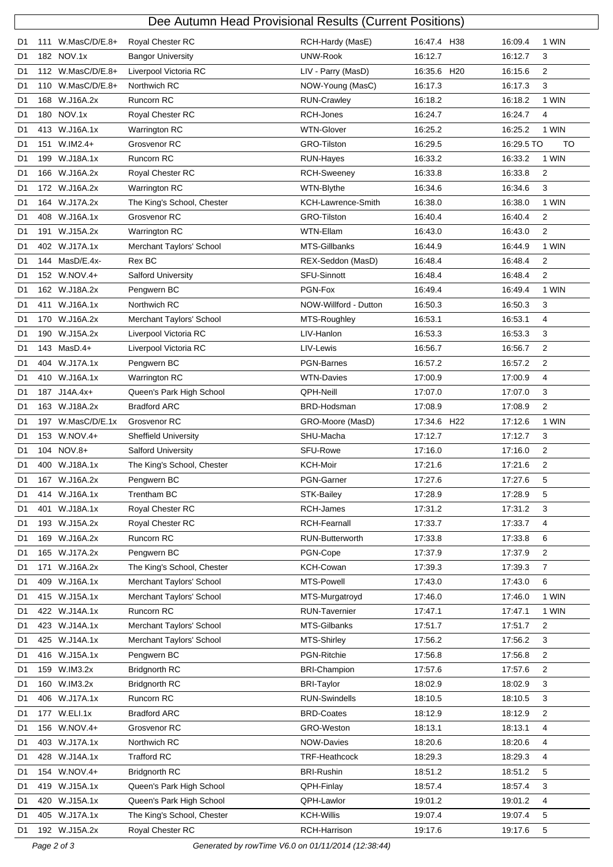|                | Dee Autumn Head Provisional Results (Current Positions) |                   |                                 |                       |             |            |                |  |  |
|----------------|---------------------------------------------------------|-------------------|---------------------------------|-----------------------|-------------|------------|----------------|--|--|
| D1             | 111                                                     | $W.MasC/D/E.8+$   | Royal Chester RC                | RCH-Hardy (MasE)      | 16:47.4 H38 | 16:09.4    | 1 WIN          |  |  |
| D1             |                                                         | 182 NOV.1x        | <b>Bangor University</b>        | <b>UNW-Rook</b>       | 16:12.7     | 16:12.7    | 3              |  |  |
| D1             |                                                         | 112 W.MasC/D/E.8+ | Liverpool Victoria RC           | LIV - Parry (MasD)    | 16:35.6 H20 | 16:15.6    | 2              |  |  |
| D <sub>1</sub> |                                                         | 110 W.MasC/D/E.8+ | Northwich RC                    | NOW-Young (MasC)      | 16:17.3     | 16:17.3    | 3              |  |  |
| D1             |                                                         | 168 W.J16A.2x     | Runcorn RC                      | <b>RUN-Crawley</b>    | 16:18.2     | 16:18.2    | 1 WIN          |  |  |
| D <sub>1</sub> |                                                         | 180 NOV.1x        | Royal Chester RC                | RCH-Jones             | 16:24.7     | 16:24.7    | 4              |  |  |
| D1             |                                                         | 413 W.J16A.1x     | Warrington RC                   | <b>WTN-Glover</b>     | 16:25.2     | 16:25.2    | 1 WIN          |  |  |
| D <sub>1</sub> | 151                                                     | $W.IM2.4+$        | Grosvenor RC                    | <b>GRO-Tilston</b>    | 16:29.5     | 16:29.5 TO | <b>TO</b>      |  |  |
| D1             |                                                         | 199 W.J18A.1x     | Runcorn RC                      | RUN-Hayes             | 16:33.2     | 16:33.2    | 1 WIN          |  |  |
| D <sub>1</sub> |                                                         | 166 W.J16A.2x     | Royal Chester RC                | <b>RCH-Sweeney</b>    | 16:33.8     | 16:33.8    | $\overline{2}$ |  |  |
| D1             |                                                         | 172 W.J16A.2x     | Warrington RC                   | WTN-Blythe            | 16:34.6     | 16:34.6    | 3              |  |  |
| D1             |                                                         | 164 W.J17A.2x     | The King's School, Chester      | KCH-Lawrence-Smith    | 16:38.0     | 16:38.0    | 1 WIN          |  |  |
| D1             |                                                         | 408 W.J16A.1x     | Grosvenor RC                    | GRO-Tilston           | 16:40.4     | 16:40.4    | $\overline{2}$ |  |  |
| D1             |                                                         | 191 W.J15A.2x     | <b>Warrington RC</b>            | <b>WTN-Ellam</b>      | 16:43.0     | 16:43.0    | 2              |  |  |
| D <sub>1</sub> |                                                         | 402 W.J17A.1x     | <b>Merchant Taylors' School</b> | MTS-Gillbanks         | 16:44.9     | 16:44.9    | 1 WIN          |  |  |
| D1             |                                                         | 144 MasD/E.4x-    | Rex BC                          | REX-Seddon (MasD)     | 16:48.4     | 16:48.4    | $\overline{2}$ |  |  |
| D1             |                                                         | 152 W.NOV.4+      | <b>Salford University</b>       | <b>SFU-Sinnott</b>    | 16:48.4     | 16:48.4    | 2              |  |  |
| D1             |                                                         | 162 W.J18A.2x     | Pengwern BC                     | PGN-Fox               | 16:49.4     | 16:49.4    | 1 WIN          |  |  |
| D1             | 411                                                     | W.J16A.1x         | Northwich RC                    | NOW-Willford - Dutton | 16:50.3     | 16:50.3    | 3              |  |  |
| D1             |                                                         | 170 W.J16A.2x     | Merchant Taylors' School        | MTS-Roughley          | 16:53.1     | 16:53.1    | 4              |  |  |
| D <sub>1</sub> |                                                         | 190 W.J15A.2x     | Liverpool Victoria RC           | LIV-Hanlon            | 16:53.3     | 16:53.3    | 3              |  |  |
| D1             | 143                                                     | $MasD.4+$         | Liverpool Victoria RC           | LIV-Lewis             | 16:56.7     | 16:56.7    | 2              |  |  |
| D1             |                                                         | 404 W.J17A.1x     | Pengwern BC                     | <b>PGN-Barnes</b>     | 16:57.2     | 16:57.2    | 2              |  |  |
| D1             |                                                         | 410 W.J16A.1x     | Warrington RC                   | <b>WTN-Davies</b>     | 17:00.9     | 17:00.9    | 4              |  |  |
| D1             |                                                         | 187 J14A.4x+      | Queen's Park High School        | <b>QPH-Neill</b>      | 17:07.0     | 17:07.0    | 3              |  |  |
| D <sub>1</sub> |                                                         | 163 W.J18A.2x     | <b>Bradford ARC</b>             | BRD-Hodsman           | 17:08.9     | 17:08.9    | 2              |  |  |
| D1             |                                                         | 197 W.MasC/D/E.1x | Grosvenor RC                    | GRO-Moore (MasD)      | 17:34.6 H22 | 17:12.6    | 1 WIN          |  |  |
| D1             |                                                         | 153 W.NOV.4+      | <b>Sheffield University</b>     | SHU-Macha             | 17:12.7     | 17:12.7    | 3              |  |  |
| D1             |                                                         | 104 NOV.8+        | <b>Salford University</b>       | SFU-Rowe              | 17:16.0     | 17:16.0    | 2              |  |  |
| D1             |                                                         | 400 W.J18A.1x     | The King's School, Chester      | <b>KCH-Moir</b>       | 17:21.6     | 17:21.6    | 2              |  |  |
| D1             |                                                         | 167 W.J16A.2x     | Pengwern BC                     | PGN-Garner            | 17:27.6     | 17:27.6    | 5              |  |  |
| D1             |                                                         | 414 W.J16A.1x     | Trentham BC                     | STK-Bailey            | 17:28.9     | 17:28.9    | 5              |  |  |
| D1             | 401                                                     | W.J18A.1x         | Royal Chester RC                | RCH-James             | 17:31.2     | 17:31.2    | 3              |  |  |
| D1             |                                                         | 193 W.J15A.2x     | Royal Chester RC                | RCH-Fearnall          | 17:33.7     | 17:33.7    | 4              |  |  |
| D1             |                                                         | 169 W.J16A.2x     | Runcorn RC                      | RUN-Butterworth       | 17:33.8     | 17:33.8    | 6              |  |  |
| D1             | 165                                                     | W.J17A.2x         | Pengwern BC                     | PGN-Cope              | 17:37.9     | 17:37.9    | 2              |  |  |
| D1             |                                                         | 171 W.J16A.2x     | The King's School, Chester      | KCH-Cowan             | 17:39.3     | 17:39.3    | $\overline{7}$ |  |  |
| D1             |                                                         | 409 W.J16A.1x     | Merchant Taylors' School        | MTS-Powell            | 17:43.0     | 17:43.0    | 6              |  |  |
| D1             |                                                         | 415 W.J15A.1x     | Merchant Taylors' School        | MTS-Murgatroyd        | 17:46.0     | 17:46.0    | 1 WIN          |  |  |
| D1             |                                                         | 422 W.J14A.1x     | Runcorn RC                      | <b>RUN-Tavernier</b>  | 17.47.1     | 17:47.1    | 1 WIN          |  |  |
| D <sub>1</sub> |                                                         | 423 W.J14A.1x     | Merchant Taylors' School        | MTS-Gilbanks          | 17:51.7     | 17:51.7    | $\overline{2}$ |  |  |
| D1             |                                                         | 425 W.J14A.1x     | Merchant Taylors' School        | MTS-Shirley           | 17:56.2     | 17:56.2    | 3              |  |  |
| D1             |                                                         | 416 W.J15A.1x     | Pengwern BC                     | PGN-Ritchie           | 17:56.8     | 17:56.8    | $\overline{2}$ |  |  |
| D1             | 159                                                     | W.IM3.2x          | <b>Bridgnorth RC</b>            | <b>BRI-Champion</b>   | 17:57.6     | 17:57.6    | 2              |  |  |
| D1             |                                                         | 160 W.IM3.2x      | <b>Bridgnorth RC</b>            | <b>BRI-Taylor</b>     | 18:02.9     | 18:02.9    | 3              |  |  |
| D1             |                                                         | 406 W.J17A.1x     | Runcorn RC                      | <b>RUN-Swindells</b>  | 18:10.5     | 18:10.5    | 3              |  |  |
| D1             |                                                         | 177 W.ELI.1x      | <b>Bradford ARC</b>             | <b>BRD-Coates</b>     | 18:12.9     | 18:12.9    | 2              |  |  |
| D1             |                                                         | 156 W.NOV.4+      | Grosvenor RC                    | GRO-Weston            | 18:13.1     | 18:13.1    | 4              |  |  |
| D1             |                                                         | 403 W.J17A.1x     | Northwich RC                    | NOW-Davies            | 18:20.6     | 18:20.6    | 4              |  |  |
| D1             | 428                                                     | W.J14A.1x         | <b>Trafford RC</b>              | TRF-Heathcock         | 18:29.3     | 18:29.3    | 4              |  |  |
| D1             |                                                         | 154 W.NOV.4+      | <b>Bridgnorth RC</b>            | <b>BRI-Rushin</b>     | 18:51.2     | 18:51.2    | 5              |  |  |
| D <sub>1</sub> |                                                         | 419 W.J15A.1x     | Queen's Park High School        | QPH-Finlay            | 18:57.4     | 18:57.4    | 3              |  |  |
| D1             |                                                         | 420 W.J15A.1x     | Queen's Park High School        | QPH-Lawlor            | 19:01.2     | 19:01.2    | 4              |  |  |
| D1             |                                                         | 405 W.J17A.1x     | The King's School, Chester      | <b>KCH-Willis</b>     | 19:07.4     | 19:07.4    | 5              |  |  |
| D1             |                                                         | 192 W.J15A.2x     | Royal Chester RC                | RCH-Harrison          | 19:17.6     | 19:17.6    | 5              |  |  |

Page 2 of 3 Generated by rowTime V6.0 on 01/11/2014 (12:38:44)